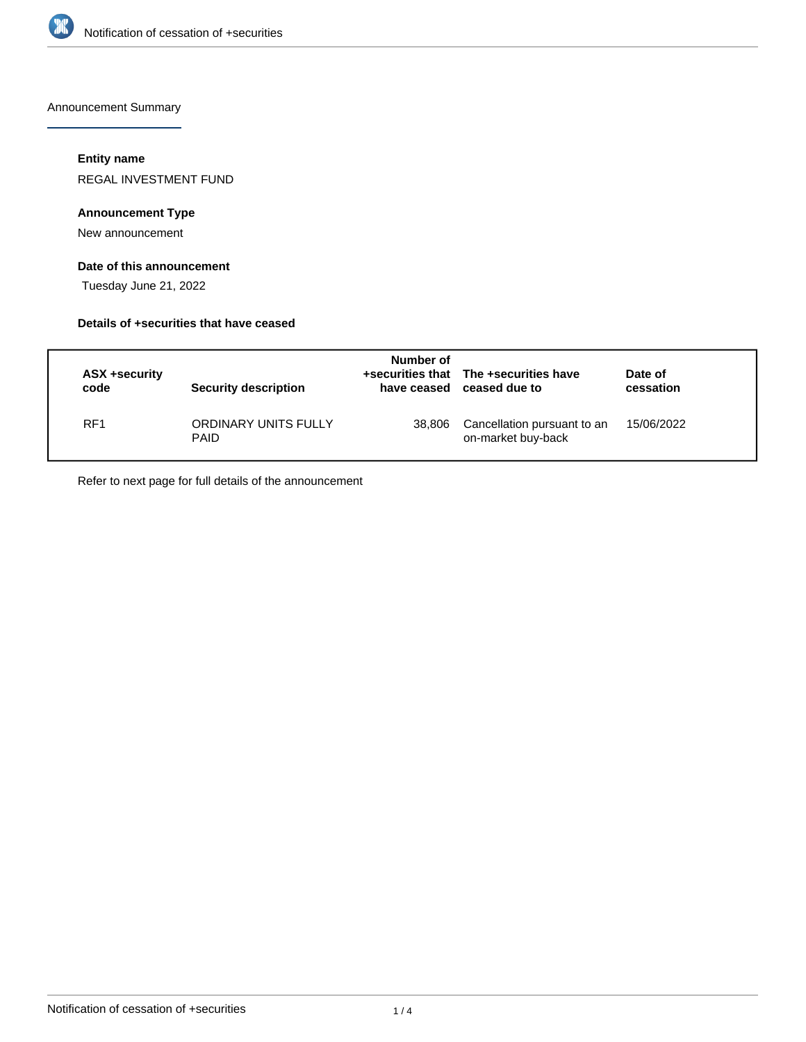

Announcement Summary

## **Entity name**

REGAL INVESTMENT FUND

## **Announcement Type**

New announcement

# **Date of this announcement**

Tuesday June 21, 2022

## **Details of +securities that have ceased**

| ASX +security<br>code | Security description                | Number of | +securities that The +securities have<br>have ceased ceased due to | Date of<br>cessation |
|-----------------------|-------------------------------------|-----------|--------------------------------------------------------------------|----------------------|
| RF <sub>1</sub>       | ORDINARY UNITS FULLY<br><b>PAID</b> | 38.806    | Cancellation pursuant to an<br>on-market buy-back                  | 15/06/2022           |

Refer to next page for full details of the announcement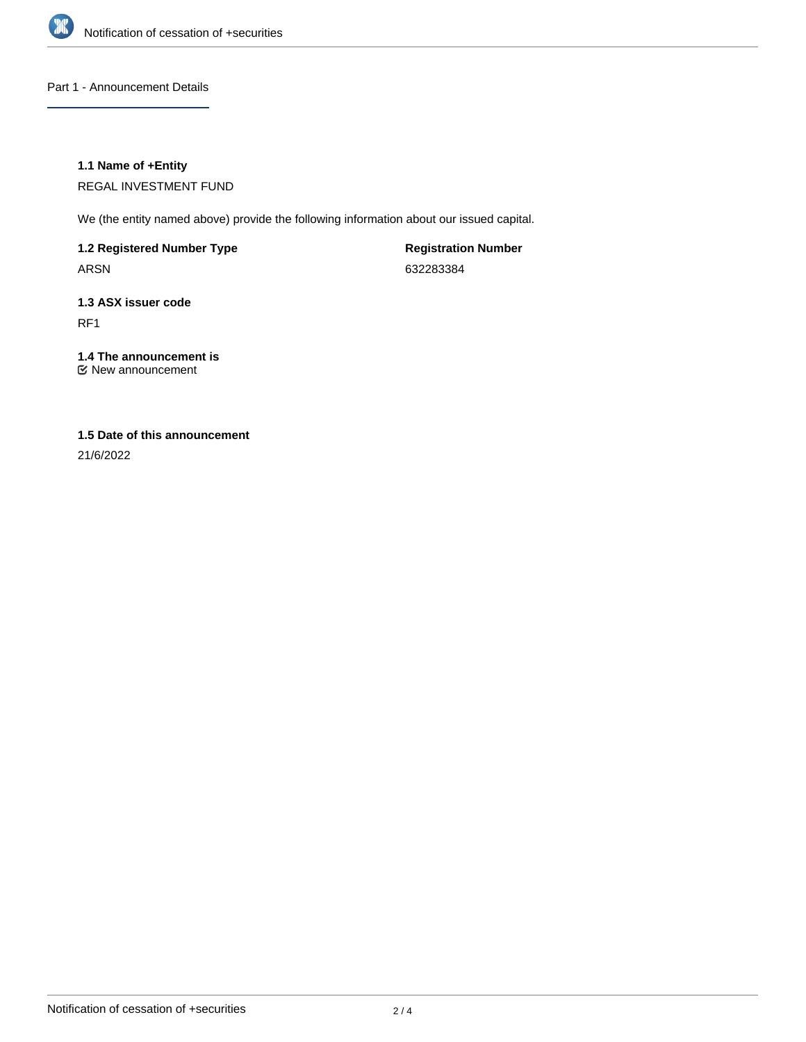

Part 1 - Announcement Details

## **1.1 Name of +Entity**

REGAL INVESTMENT FUND

We (the entity named above) provide the following information about our issued capital.

**1.2 Registered Number Type**

ARSN

**Registration Number** 632283384

# **1.3 ASX issuer code**

RF1

# **1.4 The announcement is**

New announcement

## **1.5 Date of this announcement**

21/6/2022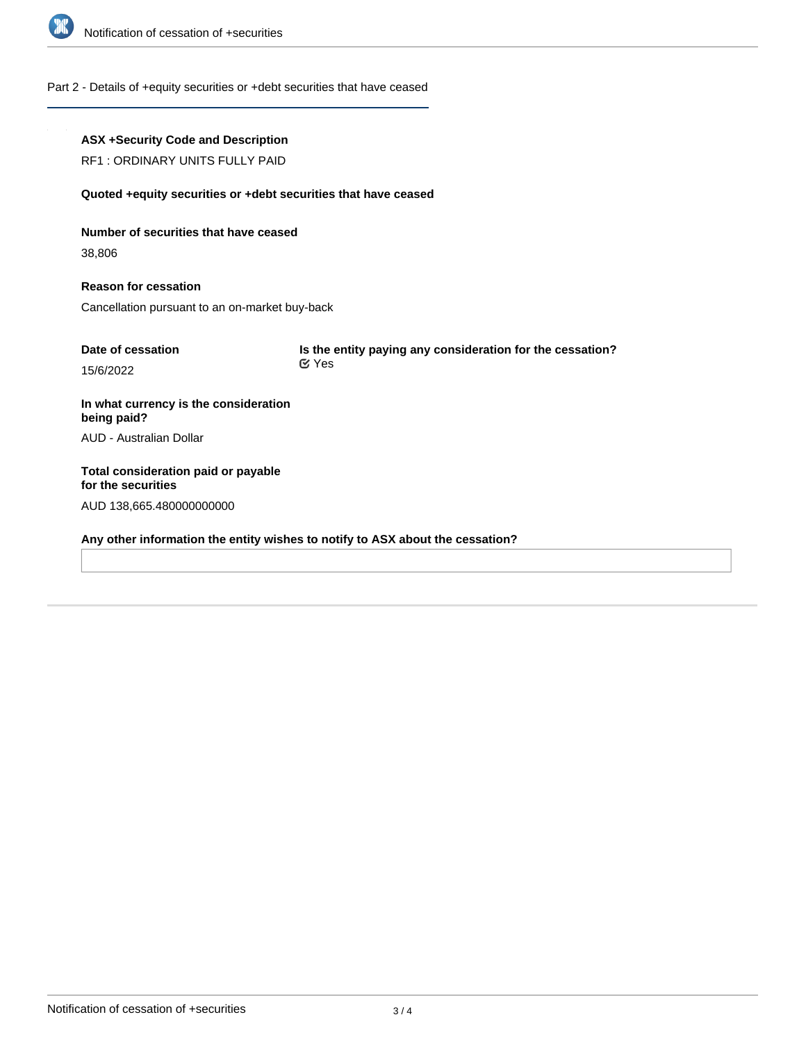

### Part 2 - Details of +equity securities or +debt securities that have ceased

## **ASX +Security Code and Description**

RF1 : ORDINARY UNITS FULLY PAID

#### **Quoted +equity securities or +debt securities that have ceased**

**Number of securities that have ceased**

38,806

**Reason for cessation** Cancellation pursuant to an on-market buy-back

| Date of cessation | Is the entity paying any consideration for the cessation? |
|-------------------|-----------------------------------------------------------|
| 15/6/2022         | <b>⊻</b> Yes                                              |

**In what currency is the consideration being paid?** AUD - Australian Dollar

**Total consideration paid or payable for the securities** AUD 138,665.480000000000

**Any other information the entity wishes to notify to ASX about the cessation?**